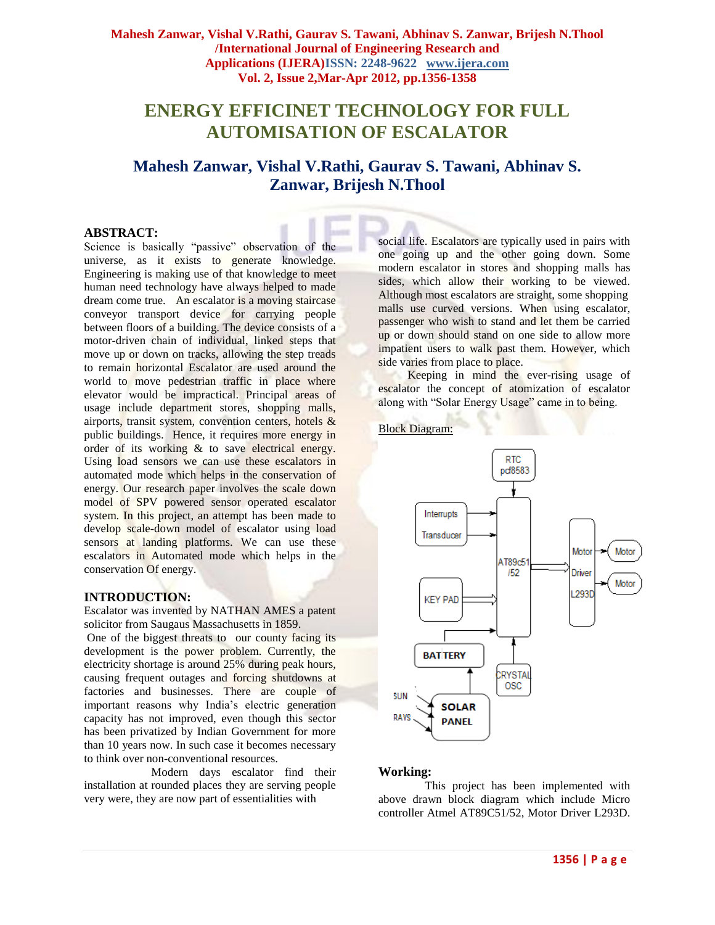**Mahesh Zanwar, Vishal V.Rathi, Gaurav S. Tawani, Abhinav S. Zanwar, Brijesh N.Thool /International Journal of Engineering Research and Applications (IJERA)ISSN: 2248-9622 www.ijera.com Vol. 2, Issue 2,Mar-Apr 2012, pp.1356-1358**

# **ENERGY EFFICINET TECHNOLOGY FOR FULL AUTOMISATION OF ESCALATOR**

## **Mahesh Zanwar, Vishal V.Rathi, Gaurav S. Tawani, Abhinav S. Zanwar, Brijesh N.Thool**

#### **ABSTRACT:**

Science is basically "passive" observation of the universe, as it exists to generate knowledge. Engineering is making use of that knowledge to meet human need technology have always helped to made dream come true. An escalator is a moving staircase conveyor transport device for carrying people between floors of a building. The device consists of a motor-driven chain of individual, linked steps that move up or down on tracks, allowing the step treads to remain horizontal Escalator are used around the world to move pedestrian traffic in place where elevator would be impractical. Principal areas of usage include department stores, shopping malls, airports, transit system, convention centers, hotels & public buildings. Hence, it requires more energy in order of its working & to save electrical energy. Using load sensors we can use these escalators in automated mode which helps in the conservation of energy. Our research paper involves the scale down model of SPV powered sensor operated escalator system. In this project, an attempt has been made to develop scale-down model of escalator using load sensors at landing platforms. We can use these escalators in Automated mode which helps in the conservation Of energy.

#### **INTRODUCTION:**

Escalator was invented by NATHAN AMES a patent solicitor from Saugaus Massachusetts in 1859.

One of the biggest threats to our county facing its development is the power problem. Currently, the electricity shortage is around 25% during peak hours, causing frequent outages and forcing shutdowns at factories and businesses. There are couple of important reasons why India"s electric generation capacity has not improved, even though this sector has been privatized by Indian Government for more than 10 years now. In such case it becomes necessary to think over non-conventional resources.

 Modern days escalator find their installation at rounded places they are serving people very were, they are now part of essentialities with

social life. Escalators are typically used in pairs with one going up and the other going down. Some modern escalator in stores and shopping malls has sides, which allow their working to be viewed. Although most escalators are straight, some shopping malls use curved versions. When using escalator, passenger who wish to stand and let them be carried up or down should stand on one side to allow more impatient users to walk past them. However, which side varies from place to place.

 Keeping in mind the ever-rising usage of escalator the concept of atomization of escalator along with "Solar Energy Usage" came in to being.



#### **Working:**

 This project has been implemented with above drawn block diagram which include Micro controller Atmel AT89C51/52, Motor Driver L293D.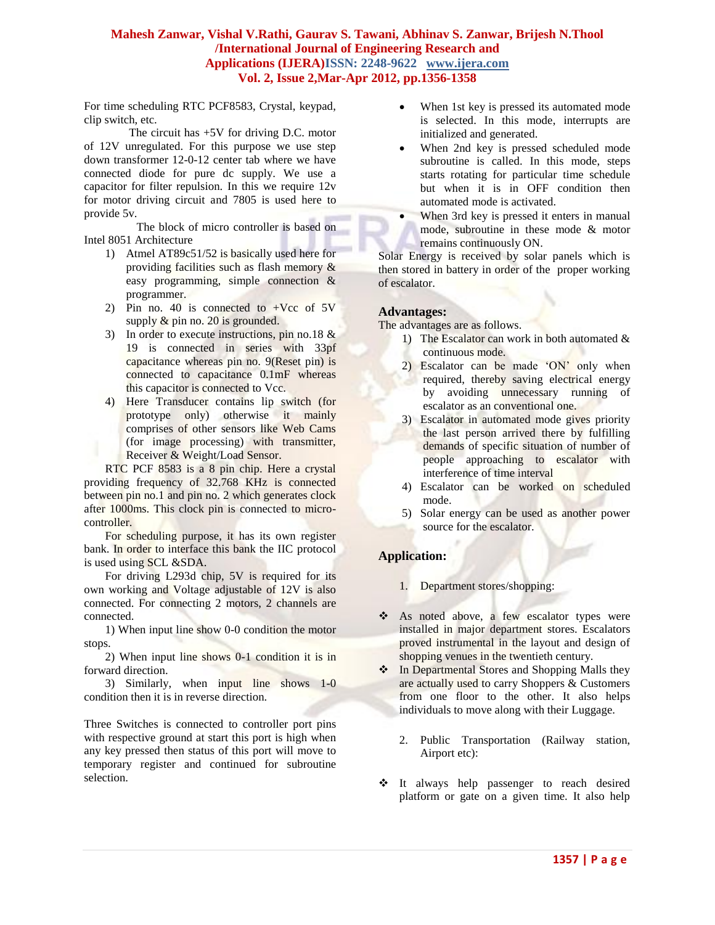#### **Mahesh Zanwar, Vishal V.Rathi, Gaurav S. Tawani, Abhinav S. Zanwar, Brijesh N.Thool /International Journal of Engineering Research and Applications (IJERA)ISSN: 2248-9622 www.ijera.com Vol. 2, Issue 2,Mar-Apr 2012, pp.1356-1358**

For time scheduling RTC PCF8583, Crystal, keypad, clip switch, etc.

The circuit has +5V for driving D.C. motor of 12V unregulated. For this purpose we use step down transformer 12-0-12 center tab where we have connected diode for pure dc supply. We use a capacitor for filter repulsion. In this we require 12v for motor driving circuit and 7805 is used here to provide 5v.

 The block of micro controller is based on Intel 8051 Architecture

- 1) Atmel AT89c51/52 is basically used here for providing facilities such as flash memory & easy programming, simple connection & programmer.
- 2) Pin no. 40 is connected to  $+Vec$  of  $5V$ supply  $\&$  pin no. 20 is grounded.
- 3) In order to execute instructions, pin no.18 & 19 is connected in series with 33pf capacitance whereas pin no. 9(Reset pin) is connected to capacitance 0.1mF whereas this capacitor is connected to Vcc.
- 4) Here Transducer contains lip switch (for prototype only) otherwise it mainly comprises of other sensors like Web Cams (for image processing) with transmitter, Receiver & Weight/Load Sensor.

RTC PCF 8583 is a 8 pin chip. Here a crystal providing frequency of 32.768 KHz is connected between pin no.1 and pin no. 2 which generates clock after 1000ms. This clock pin is connected to microcontroller.

For scheduling purpose, it has its own register bank. In order to interface this bank the IIC protocol is used using SCL &SDA.

For driving L293d chip, 5V is required for its own working and Voltage adjustable of 12V is also connected. For connecting 2 motors, 2 channels are connected.

1) When input line show 0-0 condition the motor stops.

2) When input line shows 0-1 condition it is in forward direction.

3) Similarly, when input line shows 1-0 condition then it is in reverse direction.

Three Switches is connected to controller port pins with respective ground at start this port is high when any key pressed then status of this port will move to temporary register and continued for subroutine selection.

- When 1st key is pressed its automated mode is selected. In this mode, interrupts are initialized and generated.
- When 2nd key is pressed scheduled mode subroutine is called. In this mode, steps starts rotating for particular time schedule but when it is in OFF condition then automated mode is activated.
	- When 3rd key is pressed it enters in manual mode, subroutine in these mode & motor remains continuously ON.

Solar Energy is received by solar panels which is then stored in battery in order of the proper working of escalator.

#### **Advantages:**

The advantages are as follows.

- 1) The Escalator can work in both automated & continuous mode.
- 2) Escalator can be made 'ON' only when required, thereby saving electrical energy by avoiding unnecessary running of escalator as an conventional one.
- 3) Escalator in automated mode gives priority the last person arrived there by fulfilling demands of specific situation of number of people approaching to escalator with interference of time interval
- 4) Escalator can be worked on scheduled mode.
- 5) Solar energy can be used as another power source for the escalator.

### **Application:**

- 1. Department stores/shopping:
- As noted above, a few escalator types were installed in major department stores. Escalators proved instrumental in the layout and design of shopping venues in the twentieth century.
- ❖ In Departmental Stores and Shopping Malls they are actually used to carry Shoppers & Customers from one floor to the other. It also helps individuals to move along with their Luggage.
	- 2. Public Transportation (Railway station, Airport etc):
- $\div$  It always help passenger to reach desired platform or gate on a given time. It also help